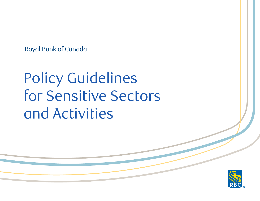Royal Bank of Canada

# for Sensitive Secl and Activities Policy Guidelines for Sensitive Sectors and Activities